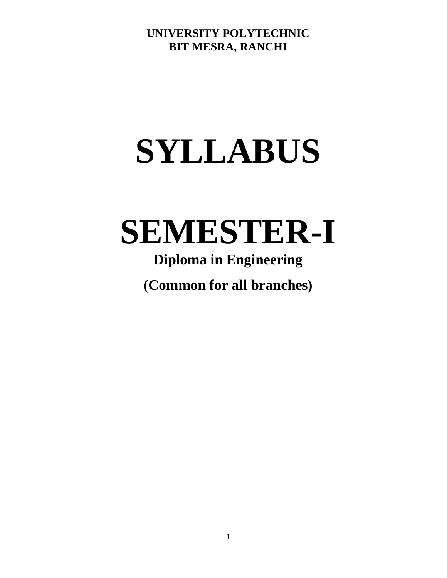# **SYLLABUS**

# **SEMESTER-I**

# **Diploma in Engineering**

**(Common for all branches)**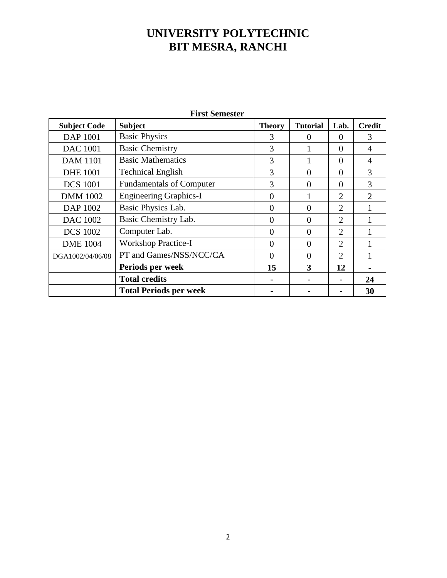| <b>First Semester</b> |                                 |               |                 |                             |                |  |  |  |
|-----------------------|---------------------------------|---------------|-----------------|-----------------------------|----------------|--|--|--|
| <b>Subject Code</b>   | <b>Subject</b>                  | <b>Theory</b> | <b>Tutorial</b> | Lab.                        | <b>Credit</b>  |  |  |  |
| DAP 1001              | <b>Basic Physics</b>            | 3             | 0               | $\Omega$                    | 3              |  |  |  |
| <b>DAC</b> 1001       | <b>Basic Chemistry</b>          | 3             |                 | $\Omega$                    | 4              |  |  |  |
| <b>DAM 1101</b>       | <b>Basic Mathematics</b>        | 3             |                 | $\theta$                    | 4              |  |  |  |
| <b>DHE 1001</b>       | <b>Technical English</b>        | 3             | 0               | $\Omega$                    | 3              |  |  |  |
| <b>DCS 1001</b>       | <b>Fundamentals of Computer</b> | 3             | 0               | $\Omega$                    | 3              |  |  |  |
| <b>DMM</b> 1002       | <b>Engineering Graphics-I</b>   | $\Omega$      |                 | $\mathcal{D}_{\mathcal{L}}$ | $\mathfrak{2}$ |  |  |  |
| DAP 1002              | Basic Physics Lab.              | 0             | 0               | $\overline{2}$              |                |  |  |  |
| <b>DAC 1002</b>       | Basic Chemistry Lab.            | $\Omega$      | 0               | $\overline{2}$              |                |  |  |  |
| <b>DCS 1002</b>       | Computer Lab.                   | $\Omega$      | $\Omega$        | $\overline{2}$              |                |  |  |  |
| <b>DME</b> 1004       | <b>Workshop Practice-I</b>      | 0             | 0               | $\overline{2}$              |                |  |  |  |
| DGA1002/04/06/08      | PT and Games/NSS/NCC/CA         | $\Omega$      | 0               | $\overline{2}$              |                |  |  |  |
|                       | Periods per week                | 15            | 3               | 12                          |                |  |  |  |
|                       | <b>Total credits</b>            |               |                 |                             | 24             |  |  |  |
|                       | <b>Total Periods per week</b>   |               |                 |                             | 30             |  |  |  |

#### **First Semester**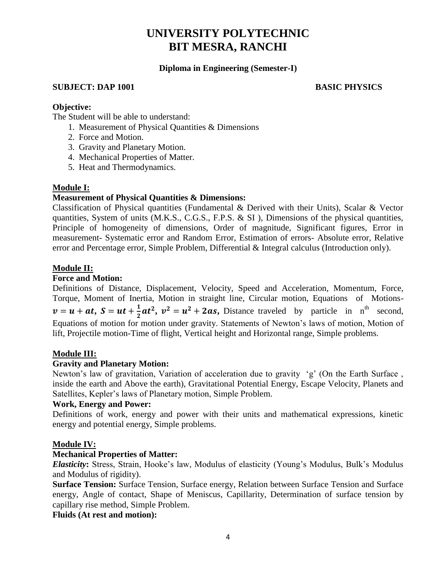#### **Diploma in Engineering (Semester-I)**

#### **SUBJECT: DAP 1001 BASIC PHYSICS**

#### **Objective:**

The Student will be able to understand:

- 1. Measurement of Physical Quantities & Dimensions
- 2. Force and Motion.
- 3. Gravity and Planetary Motion.
- 4. Mechanical Properties of Matter.
- 5. Heat and Thermodynamics.

#### **Module I:**

#### **Measurement of Physical Quantities & Dimensions:**

Classification of Physical quantities (Fundamental & Derived with their Units), Scalar & Vector quantities, System of units (M.K.S., C.G.S., F.P.S. & SI ), Dimensions of the physical quantities, Principle of homogeneity of dimensions, Order of magnitude, Significant figures, Error in measurement- Systematic error and Random Error, Estimation of errors- Absolute error, Relative error and Percentage error, Simple Problem, Differential & Integral calculus (Introduction only).

#### **Module II:**

#### **Force and Motion:**

Definitions of Distance, Displacement, Velocity, Speed and Acceleration, Momentum, Force, Torque, Moment of Inertia, Motion in straight line, Circular motion, Equations of Motions  $v = u + at, S = ut + \frac{1}{2}$  $\frac{1}{2}at^2$ ,  $v^2 = u^2 + 2as$ , Distance traveled by particle in n<sup>th</sup> second, Equations of motion for motion under gravity. Statements of Newton's laws of motion, Motion of lift, Projectile motion-Time of flight, Vertical height and Horizontal range, Simple problems.

#### **Module III:**

### **Gravity and Planetary Motion:**

Newton's law of gravitation, Variation of acceleration due to gravity 'g' (On the Earth Surface , inside the earth and Above the earth), Gravitational Potential Energy, Escape Velocity, Planets and Satellites, Kepler's laws of Planetary motion, Simple Problem.

#### **Work, Energy and Power:**

Definitions of work, energy and power with their units and mathematical expressions, kinetic energy and potential energy, Simple problems.

#### **Module IV:**

### **Mechanical Properties of Matter:**

*Elasticity***:** Stress, Strain, Hooke's law, Modulus of elasticity (Young's Modulus, Bulk's Modulus and Modulus of rigidity).

**Surface Tension:** Surface Tension, Surface energy, Relation between Surface Tension and Surface energy, Angle of contact, Shape of Meniscus, Capillarity, Determination of surface tension by capillary rise method, Simple Problem.

#### **Fluids (At rest and motion):**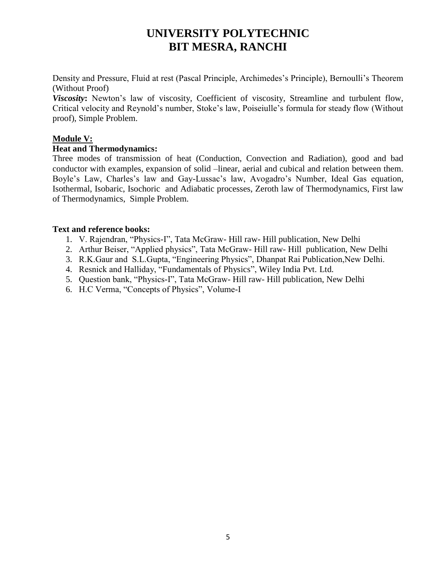Density and Pressure, Fluid at rest (Pascal Principle, Archimedes's Principle), Bernoulli's Theorem (Without Proof)

*Viscosity***:** Newton's law of viscosity, Coefficient of viscosity, Streamline and turbulent flow, Critical velocity and Reynold's number, Stoke's law, Poiseiulle's formula for steady flow (Without proof), Simple Problem.

### **Module V:**

#### **Heat and Thermodynamics:**

Three modes of transmission of heat (Conduction, Convection and Radiation), good and bad conductor with examples, expansion of solid –linear, aerial and cubical and relation between them. Boyle's Law, Charles's law and Gay-Lussac's law, Avogadro's Number, Ideal Gas equation, Isothermal, Isobaric, Isochoric and Adiabatic processes, Zeroth law of Thermodynamics, First law of Thermodynamics, Simple Problem.

#### **Text and reference books:**

- 1. V. Rajendran, "Physics-I", Tata McGraw- Hill raw- Hill publication, New Delhi
- 2. Arthur Beiser, "Applied physics", Tata McGraw- Hill raw- Hill publication, New Delhi
- 3. R.K.Gaur and S.L.Gupta, "Engineering Physics", Dhanpat Rai Publication,New Delhi.
- 4. Resnick and Halliday, "Fundamentals of Physics", Wiley India Pvt. Ltd.
- 5. Question bank, "Physics-I", Tata McGraw- Hill raw- Hill publication, New Delhi
- 6. H.C Verma, "Concepts of Physics", Volume-I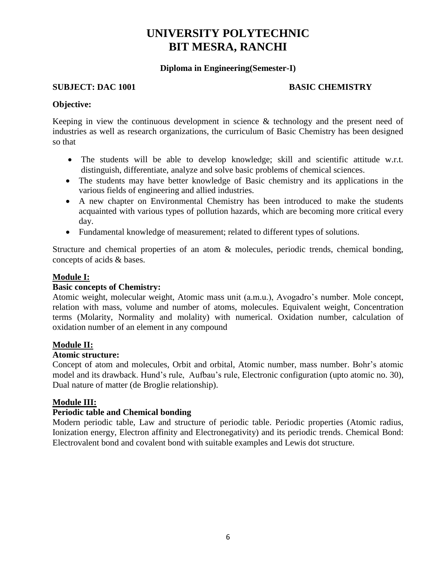#### **Diploma in Engineering(Semester-I)**

#### **SUBJECT: DAC 1001 BASIC CHEMISTRY**

#### **Objective:**

Keeping in view the continuous development in science & technology and the present need of industries as well as research organizations, the curriculum of Basic Chemistry has been designed so that

- The students will be able to develop knowledge; skill and scientific attitude w.r.t. distinguish, differentiate, analyze and solve basic problems of chemical sciences.
- The students may have better knowledge of Basic chemistry and its applications in the various fields of engineering and allied industries.
- A new chapter on Environmental Chemistry has been introduced to make the students acquainted with various types of pollution hazards, which are becoming more critical every day.
- Fundamental knowledge of measurement; related to different types of solutions.

Structure and chemical properties of an atom & molecules, periodic trends, chemical bonding, concepts of acids & bases.

### **Module I:**

#### **Basic concepts of Chemistry:**

Atomic weight, molecular weight, Atomic mass unit (a.m.u.), Avogadro's number. Mole concept, relation with mass, volume and number of atoms, molecules. Equivalent weight, Concentration terms (Molarity, Normality and molality) with numerical. Oxidation number, calculation of oxidation number of an element in any compound

#### **Module II:**

#### **Atomic structure:**

Concept of atom and molecules, Orbit and orbital, Atomic number, mass number. Bohr's atomic model and its drawback. Hund's rule, Aufbau's rule, Electronic configuration (upto atomic no. 30), Dual nature of matter (de Broglie relationship).

#### **Module III:**

### **Periodic table and Chemical bonding**

Modern periodic table, Law and structure of periodic table. Periodic properties (Atomic radius, Ionization energy, Electron affinity and Electronegativity) and its periodic trends. Chemical Bond: Electrovalent bond and covalent bond with suitable examples and Lewis dot structure.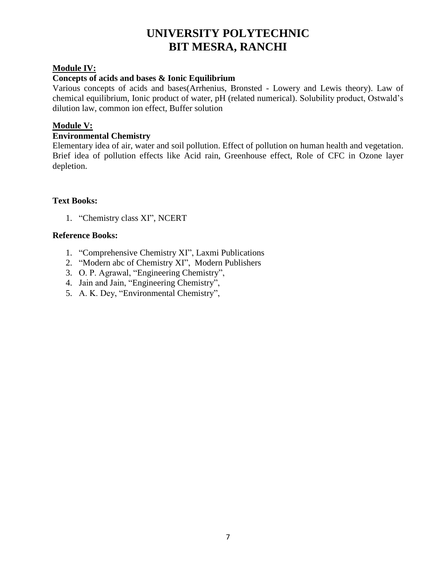## **Module IV:**

#### **Concepts of acids and bases & Ionic Equilibrium**

Various concepts of acids and bases(Arrhenius, Bronsted - Lowery and Lewis theory). Law of chemical equilibrium, Ionic product of water, pH (related numerical). Solubility product, Ostwald's dilution law, common ion effect, Buffer solution

#### **Module V:**

#### **Environmental Chemistry**

Elementary idea of air, water and soil pollution. Effect of pollution on human health and vegetation. Brief idea of pollution effects like Acid rain, Greenhouse effect, Role of CFC in Ozone layer depletion.

#### **Text Books:**

1. "Chemistry class XI", NCERT

#### **Reference Books:**

- 1. "Comprehensive Chemistry XI", Laxmi Publications
- 2. "Modern abc of Chemistry XI", Modern Publishers
- 3. O. P. Agrawal, "Engineering Chemistry",
- 4. Jain and Jain, "Engineering Chemistry",
- 5. A. K. Dey, "Environmental Chemistry",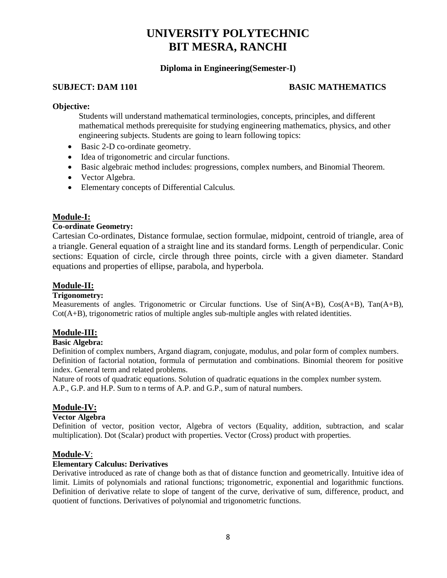#### **Diploma in Engineering(Semester-I)**

#### **SUBJECT: DAM 1101 BASIC MATHEMATICS**

#### **Objective:**

Students will understand mathematical terminologies, concepts, principles, and different mathematical methods prerequisite for studying engineering mathematics, physics, and other engineering subjects. Students are going to learn following topics:

- Basic 2-D co-ordinate geometry.
- Idea of trigonometric and circular functions.
- Basic algebraic method includes: progressions, complex numbers, and Binomial Theorem.
- Vector Algebra.
- Elementary concepts of Differential Calculus.

### **Module-I:**

#### **Co-ordinate Geometry:**

Cartesian Co-ordinates, Distance formulae, section formulae, midpoint, centroid of triangle, area of a triangle. General equation of a straight line and its standard forms. Length of perpendicular. Conic sections: Equation of circle, circle through three points, circle with a given diameter. Standard equations and properties of ellipse, parabola, and hyperbola.

#### **Module-II:**

#### **Trigonometry:**

Measurements of angles. Trigonometric or Circular functions. Use of Sin(A+B), Cos(A+B), Tan(A+B), Cot(A+B), trigonometric ratios of multiple angles sub-multiple angles with related identities.

#### **Module-III:**

#### **Basic Algebra:**

Definition of complex numbers, Argand diagram, conjugate, modulus, and polar form of complex numbers. Definition of factorial notation, formula of permutation and combinations. Binomial theorem for positive index. General term and related problems.

Nature of roots of quadratic equations. Solution of quadratic equations in the complex number system. A.P., G.P. and H.P. Sum to n terms of A.P. and G.P., sum of natural numbers.

#### **Module-IV:**

#### **Vector Algebra**

Definition of vector, position vector, Algebra of vectors (Equality, addition, subtraction, and scalar multiplication). Dot (Scalar) product with properties. Vector (Cross) product with properties.

#### **Module-V**:

#### **Elementary Calculus: Derivatives**

Derivative introduced as rate of change both as that of distance function and geometrically. Intuitive idea of limit. Limits of polynomials and rational functions; trigonometric, exponential and logarithmic functions. Definition of derivative relate to slope of tangent of the curve, derivative of sum, difference, product, and quotient of functions. Derivatives of polynomial and trigonometric functions.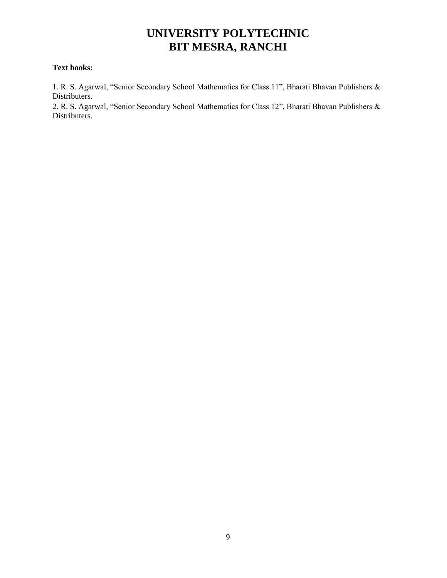#### **Text books:**

1. R. S. Agarwal, "Senior Secondary School Mathematics for Class 11", Bharati Bhavan Publishers & Distributers.

2. R. S. Agarwal, "Senior Secondary School Mathematics for Class 12", Bharati Bhavan Publishers & Distributers.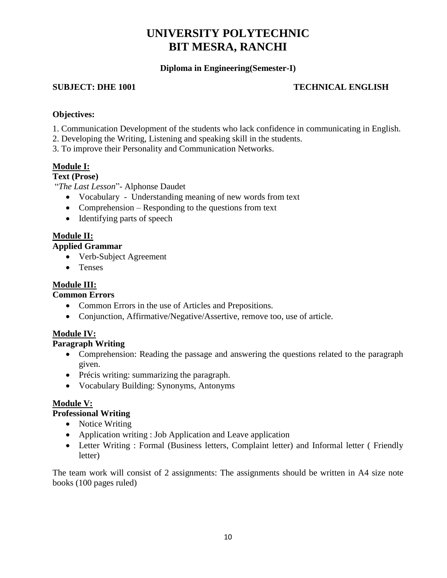## **Diploma in Engineering(Semester-I)**

#### **SUBJECT: DHE 1001 TECHNICAL ENGLISH**

#### **Objectives:**

- 1. Communication Development of the students who lack confidence in communicating in English.
- 2. Developing the Writing, Listening and speaking skill in the students.
- 3. To improve their Personality and Communication Networks.

### **Module I:**

#### **Text (Prose)**

"*The Last Lesson*"- Alphonse Daudet

- Vocabulary Understanding meaning of new words from text
- Comprehension Responding to the questions from text
- Identifying parts of speech

### **Module II:**

#### **Applied Grammar**

- Verb-Subject Agreement
- Tenses

#### **Module III:**

#### **Common Errors**

- Common Errors in the use of Articles and Prepositions.
- Conjunction, Affirmative/Negative/Assertive, remove too, use of article.

### **Module IV:**

## **Paragraph Writing**

- Comprehension: Reading the passage and answering the questions related to the paragraph given.
- Précis writing: summarizing the paragraph.
- Vocabulary Building: Synonyms, Antonyms

### **Module V:**

#### **Professional Writing**

- Notice Writing
- Application writing : Job Application and Leave application
- Letter Writing : Formal (Business letters, Complaint letter) and Informal letter (Friendly letter)

The team work will consist of 2 assignments: The assignments should be written in A4 size note books (100 pages ruled)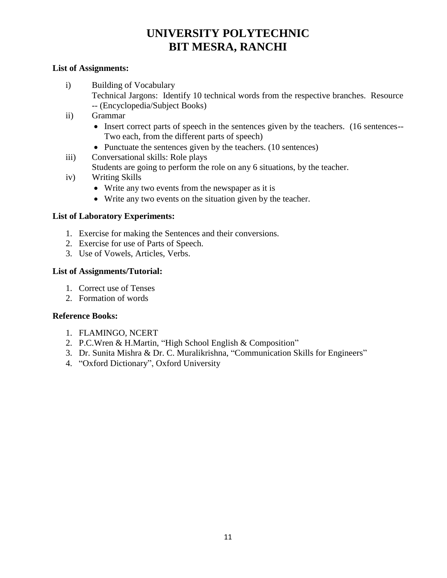#### **List of Assignments:**

- i) Building of Vocabulary
	- Technical Jargons: Identify 10 technical words from the respective branches. Resource -- (Encyclopedia/Subject Books)
- ii) Grammar
	- Insert correct parts of speech in the sentences given by the teachers. (16 sentences--Two each, from the different parts of speech)
	- Punctuate the sentences given by the teachers. (10 sentences)
- iii) Conversational skills: Role plays
	- Students are going to perform the role on any 6 situations, by the teacher.
- iv) Writing Skills
	- Write any two events from the newspaper as it is
	- Write any two events on the situation given by the teacher.

### **List of Laboratory Experiments:**

- 1. Exercise for making the Sentences and their conversions.
- 2. Exercise for use of Parts of Speech.
- 3. Use of Vowels, Articles, Verbs.

#### **List of Assignments/Tutorial:**

- 1. Correct use of Tenses
- 2. Formation of words

#### **Reference Books:**

- 1. FLAMINGO, NCERT
- 2. P.C.Wren & H.Martin, "High School English & Composition"
- 3. Dr. Sunita Mishra & Dr. C. Muralikrishna, "Communication Skills for Engineers"
- 4. "Oxford Dictionary", Oxford University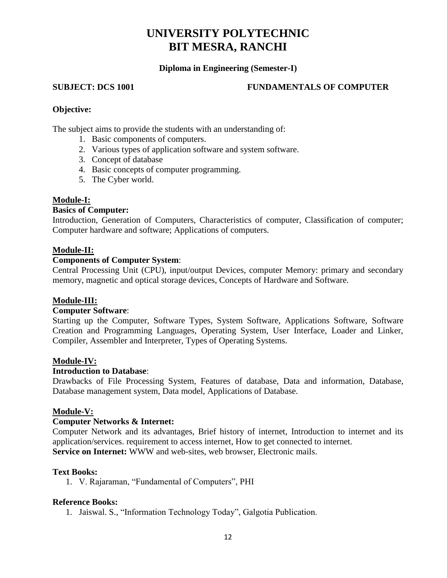#### **Diploma in Engineering (Semester-I)**

#### **SUBJECT: DCS 1001 FUNDAMENTALS OF COMPUTER**

#### **Objective:**

The subject aims to provide the students with an understanding of:

- 1. Basic components of computers.
- 2. Various types of application software and system software.
- 3. Concept of database
- 4. Basic concepts of computer programming.
- 5. The Cyber world.

#### **Module-I:**

## **Basics of Computer:**

Introduction, Generation of Computers, Characteristics of computer, Classification of computer; Computer hardware and software; Applications of computers.

#### **Module-II:**

#### **Components of Computer System**:

Central Processing Unit (CPU), input/output Devices, computer Memory: primary and secondary memory, magnetic and optical storage devices, Concepts of Hardware and Software.

#### **Module-III:**

#### **Computer Software**:

Starting up the Computer, Software Types, System Software, Applications Software, Software Creation and Programming Languages, Operating System, User Interface, Loader and Linker, Compiler, Assembler and Interpreter, Types of Operating Systems.

#### **Module-IV:**

#### **Introduction to Database**:

Drawbacks of File Processing System, Features of database, Data and information, Database, Database management system, Data model, Applications of Database.

#### **Module-V:**

#### **Computer Networks & Internet:**

Computer Network and its advantages, Brief history of internet, Introduction to internet and its application/services. requirement to access internet, How to get connected to internet. **Service on Internet:** WWW and web-sites, web browser, Electronic mails.

#### **Text Books:**

1. V. Rajaraman, "Fundamental of Computers", PHI

#### **Reference Books:**

1. Jaiswal. S., "Information Technology Today", Galgotia Publication.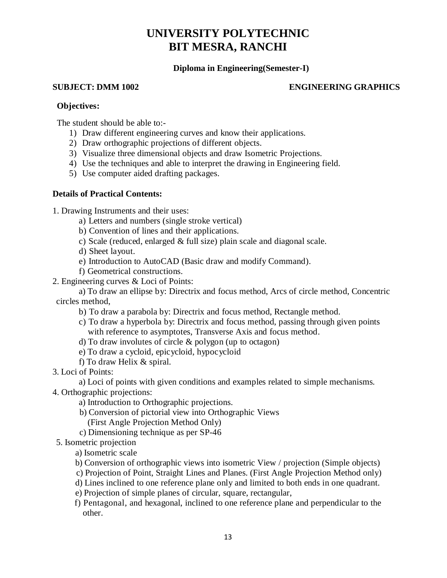### **Diploma in Engineering(Semester-I)**

#### **SUBJECT: DMM 1002 ENGINEERING GRAPHICS**

#### **Objectives:**

The student should be able to:-

- 1) Draw different engineering curves and know their applications.
- 2) Draw orthographic projections of different objects.
- 3) Visualize three dimensional objects and draw Isometric Projections.
- 4) Use the techniques and able to interpret the drawing in Engineering field.
- 5) Use computer aided drafting packages.

#### **Details of Practical Contents:**

1. Drawing Instruments and their uses:

- a) Letters and numbers (single stroke vertical)
- b) Convention of lines and their applications.
- c) Scale (reduced, enlarged & full size) plain scale and diagonal scale.
- d) Sheet layout.
- e) Introduction to AutoCAD (Basic draw and modify Command).
- f) Geometrical constructions.
- 2. Engineering curves & Loci of Points:

a) To draw an ellipse by: Directrix and focus method, Arcs of circle method, Concentric circles method,

- b) To draw a parabola by: Directrix and focus method, Rectangle method.
- c) To draw a hyperbola by: Directrix and focus method, passing through given points with reference to asymptotes, Transverse Axis and focus method.
- d) To draw involutes of circle & polygon (up to octagon)
- e) To draw a cycloid, epicycloid, hypocycloid
- f) To draw Helix & spiral.
- 3. Loci of Points:

a) Loci of points with given conditions and examples related to simple mechanisms.

- 4. Orthographic projections:
	- a) Introduction to Orthographic projections.
	- b) Conversion of pictorial view into Orthographic Views
		- (First Angle Projection Method Only)
	- c) Dimensioning technique as per SP-46
- 5. Isometric projection

a) Isometric scale

- b) Conversion of orthographic views into isometric View / projection (Simple objects)
- c) Projection of Point, Straight Lines and Planes. (First Angle Projection Method only)
- d) Lines inclined to one reference plane only and limited to both ends in one quadrant.
- e) Projection of simple planes of circular, square, rectangular,
- f) Pentagonal, and hexagonal, inclined to one reference plane and perpendicular to the other.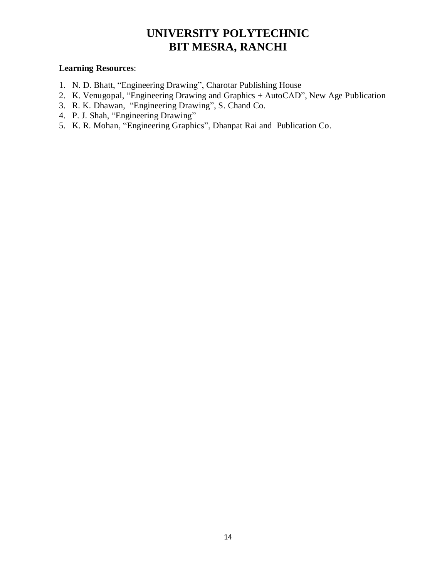#### **Learning Resources**:

- 1. N. D. Bhatt, "Engineering Drawing", Charotar Publishing House
- 2. K. Venugopal, "Engineering Drawing and Graphics + AutoCAD", New Age Publication
- 3. R. K. Dhawan, "Engineering Drawing", S. Chand Co.
- 4. P. J. Shah, "Engineering Drawing"
- 5. K. R. Mohan, "Engineering Graphics", Dhanpat Rai and Publication Co.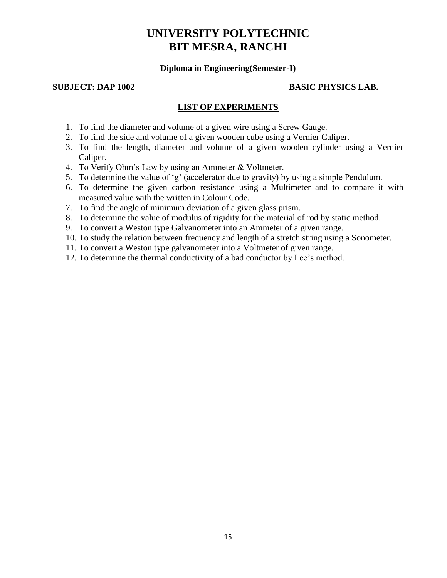#### **Diploma in Engineering(Semester-I)**

#### **SUBJECT: DAP 1002 BASIC PHYSICS LAB.**

#### **LIST OF EXPERIMENTS**

- 1. To find the diameter and volume of a given wire using a Screw Gauge.
- 2. To find the side and volume of a given wooden cube using a Vernier Caliper.
- 3. To find the length, diameter and volume of a given wooden cylinder using a Vernier Caliper.
- 4. To Verify Ohm's Law by using an Ammeter & Voltmeter.
- 5. To determine the value of 'g' (accelerator due to gravity) by using a simple Pendulum.
- 6. To determine the given carbon resistance using a Multimeter and to compare it with measured value with the written in Colour Code.
- 7. To find the angle of minimum deviation of a given glass prism.
- 8. To determine the value of modulus of rigidity for the material of rod by static method.
- 9. To convert a Weston type Galvanometer into an Ammeter of a given range.
- 10. To study the relation between frequency and length of a stretch string using a Sonometer.
- 11. To convert a Weston type galvanometer into a Voltmeter of given range.
- 12. To determine the thermal conductivity of a bad conductor by Lee's method.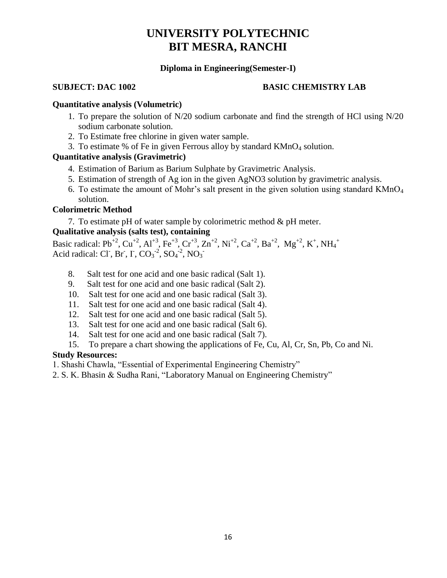#### **Diploma in Engineering(Semester-I)**

#### **SUBJECT: DAC 1002 BASIC CHEMISTRY LAB**

#### **Quantitative analysis (Volumetric)**

- 1. To prepare the solution of N/20 sodium carbonate and find the strength of HCl using N/20 sodium carbonate solution.
- 2. To Estimate free chlorine in given water sample.
- 3. To estimate % of Fe in given Ferrous alloy by standard  $KMnO<sub>4</sub>$  solution.

#### **Quantitative analysis (Gravimetric)**

- 4. Estimation of Barium as Barium Sulphate by Gravimetric Analysis.
- 5. Estimation of strength of Ag ion in the given AgNO3 solution by gravimetric analysis.
- 6. To estimate the amount of Mohr's salt present in the given solution using standard  $KMnO<sub>4</sub>$ solution.

#### **Colorimetric Method**

7. To estimate pH of water sample by colorimetric method & pH meter.

#### **Qualitative analysis (salts test), containing**

Basic radical: Pb<sup>+2</sup>, Cu<sup>+2</sup>, Al<sup>+3</sup>, Fe<sup>+3</sup>, Cr<sup>+3</sup>, Zn<sup>+2</sup>, Ni<sup>+2</sup>, Ca<sup>+2</sup>, Ba<sup>+2</sup>, Mg<sup>+2</sup>, K<sup>+</sup>, NH<sub>4</sub><sup>+</sup> Acid radical: Cl<sup>-</sup>, Br<sup>-</sup>, I<sup>-</sup>, CO<sub>3</sub><sup>-2</sup>, SO<sub>4</sub><sup>-2</sup>, NO<sub>3</sub><sup>-2</sup>

- 8. Salt test for one acid and one basic radical (Salt 1).
- 9. Salt test for one acid and one basic radical (Salt 2).
- 10. Salt test for one acid and one basic radical (Salt 3).
- 11. Salt test for one acid and one basic radical (Salt 4).
- 12. Salt test for one acid and one basic radical (Salt 5).
- 13. Salt test for one acid and one basic radical (Salt 6).
- 14. Salt test for one acid and one basic radical (Salt 7).
- 15. To prepare a chart showing the applications of Fe, Cu, Al, Cr, Sn, Pb, Co and Ni.

#### **Study Resources:**

- 1. Shashi Chawla, "Essential of Experimental Engineering Chemistry"
- 2. S. K. Bhasin & Sudha Rani, "Laboratory Manual on Engineering Chemistry"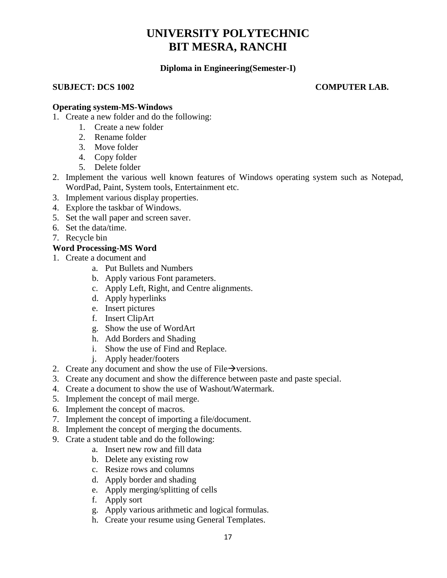#### **Diploma in Engineering(Semester-I)**

#### **SUBJECT: DCS 1002 COMPUTER LAB.**

#### **Operating system-MS-Windows**

- 1. Create a new folder and do the following:
	- 1. Create a new folder
	- 2. Rename folder
	- 3. Move folder
	- 4. Copy folder
	- 5. Delete folder
- 2. Implement the various well known features of Windows operating system such as Notepad, WordPad, Paint, System tools, Entertainment etc.
- 3. Implement various display properties.
- 4. Explore the taskbar of Windows.
- 5. Set the wall paper and screen saver.
- 6. Set the data/time.
- 7. Recycle bin

### **Word Processing-MS Word**

- 1. Create a document and
	- a. Put Bullets and Numbers
	- b. Apply various Font parameters.
	- c. Apply Left, Right, and Centre alignments.
	- d. Apply hyperlinks
	- e. Insert pictures
	- f. Insert ClipArt
	- g. Show the use of WordArt
	- h. Add Borders and Shading
	- i. Show the use of Find and Replace.
	- j. Apply header/footers
- 2. Create any document and show the use of File $\rightarrow$  versions.
- 3. Create any document and show the difference between paste and paste special.
- 4. Create a document to show the use of Washout/Watermark.
- 5. Implement the concept of mail merge.
- 6. Implement the concept of macros.
- 7. Implement the concept of importing a file/document.
- 8. Implement the concept of merging the documents.
- 9. Crate a student table and do the following:
	- a. Insert new row and fill data
	- b. Delete any existing row
	- c. Resize rows and columns
	- d. Apply border and shading
	- e. Apply merging/splitting of cells
	- f. Apply sort
	- g. Apply various arithmetic and logical formulas.
	- h. Create your resume using General Templates.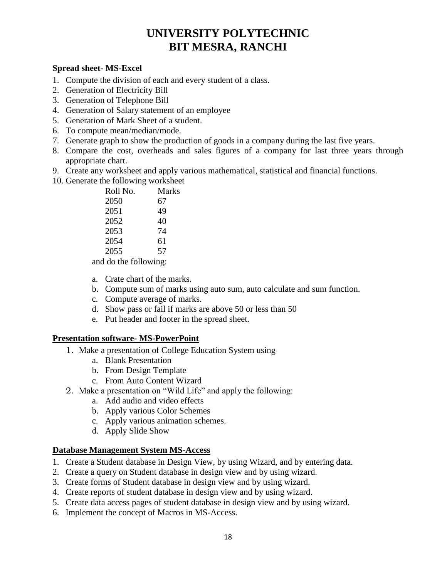#### **Spread sheet- MS-Excel**

- 1. Compute the division of each and every student of a class.
- 2. Generation of Electricity Bill
- 3. Generation of Telephone Bill
- 4. Generation of Salary statement of an employee
- 5. Generation of Mark Sheet of a student.
- 6. To compute mean/median/mode.
- 7. Generate graph to show the production of goods in a company during the last five years.
- 8. Compare the cost, overheads and sales figures of a company for last three years through appropriate chart.
- 9. Create any worksheet and apply various mathematical, statistical and financial functions.
- 10. Generate the following worksheet

| Roll No. | <b>Marks</b> |
|----------|--------------|
| 2050     | 67           |
| 2051     | 49           |
| 2052     | 40           |
| 2053     | 74           |
| 2054     | 61           |
| 2055     | 57           |
|          |              |

and do the following:

- a. Crate chart of the marks.
- b. Compute sum of marks using auto sum, auto calculate and sum function.
- c. Compute average of marks.
- d. Show pass or fail if marks are above 50 or less than 50
- e. Put header and footer in the spread sheet.

#### **Presentation software- MS-PowerPoint**

- 1. Make a presentation of College Education System using
	- a. Blank Presentation
	- b. From Design Template
	- c. From Auto Content Wizard
- 2. Make a presentation on "Wild Life" and apply the following:
	- a. Add audio and video effects
	- b. Apply various Color Schemes
	- c. Apply various animation schemes.
	- d. Apply Slide Show

#### **Database Management System MS-Access**

- 1. Create a Student database in Design View, by using Wizard, and by entering data.
- 2. Create a query on Student database in design view and by using wizard.
- 3. Create forms of Student database in design view and by using wizard.
- 4. Create reports of student database in design view and by using wizard.
- 5. Create data access pages of student database in design view and by using wizard.
- 6. Implement the concept of Macros in MS-Access.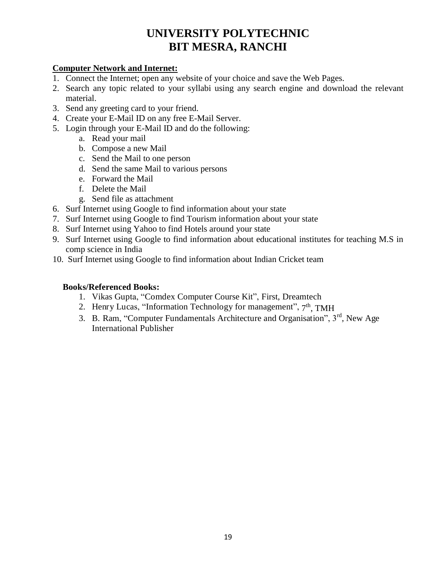## **Computer Network and Internet:**

- 1. Connect the Internet; open any website of your choice and save the Web Pages.
- 2. Search any topic related to your syllabi using any search engine and download the relevant material.
- 3. Send any greeting card to your friend.
- 4. Create your E-Mail ID on any free E-Mail Server.
- 5. Login through your E-Mail ID and do the following:
	- a. Read your mail
	- b. Compose a new Mail
	- c. Send the Mail to one person
	- d. Send the same Mail to various persons
	- e. Forward the Mail
	- f. Delete the Mail
	- g. Send file as attachment
- 6. Surf Internet using Google to find information about your state
- 7. Surf Internet using Google to find Tourism information about your state
- 8. Surf Internet using Yahoo to find Hotels around your state
- 9. Surf Internet using Google to find information about educational institutes for teaching M.S in comp science in India
- 10. Surf Internet using Google to find information about Indian Cricket team

## **Books/Referenced Books:**

- 1. Vikas Gupta, "Comdex Computer Course Kit", First, Dreamtech
- 2. Henry Lucas, "Information Technology for management", 7<sup>th</sup>, TMH
- 3. B. Ram, "Computer Fundamentals Architecture and Organisation", 3<sup>rd</sup>, New Age International Publisher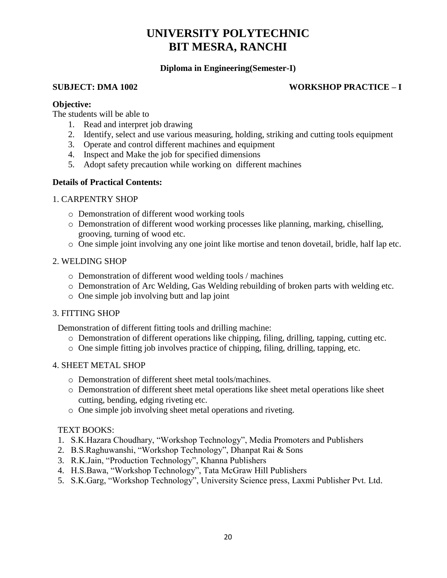## **Diploma in Engineering(Semester-I)**

### **SUBJECT: DMA 1002 WORKSHOP PRACTICE – I**

#### **Objective:**

The students will be able to

- 1. Read and interpret job drawing
- 2. Identify, select and use various measuring, holding, striking and cutting tools equipment
- 3. Operate and control different machines and equipment
- 4. Inspect and Make the job for specified dimensions
- 5. Adopt safety precaution while working on different machines

### **Details of Practical Contents:**

### 1. CARPENTRY SHOP

- o Demonstration of different wood working tools
- o Demonstration of different wood working processes like planning, marking, chiselling, grooving, turning of wood etc.
- o One simple joint involving any one joint like mortise and tenon dovetail, bridle, half lap etc.

### 2. WELDING SHOP

- o Demonstration of different wood welding tools / machines
- o Demonstration of Arc Welding, Gas Welding rebuilding of broken parts with welding etc.
- o One simple job involving butt and lap joint

### 3. FITTING SHOP

Demonstration of different fitting tools and drilling machine:

- o Demonstration of different operations like chipping, filing, drilling, tapping, cutting etc.
- o One simple fitting job involves practice of chipping, filing, drilling, tapping, etc.

### 4. SHEET METAL SHOP

- o Demonstration of different sheet metal tools/machines.
- o Demonstration of different sheet metal operations like sheet metal operations like sheet cutting, bending, edging riveting etc.
- o One simple job involving sheet metal operations and riveting.

### TEXT BOOKS:

- 1. S.K.Hazara Choudhary, "Workshop Technology", Media Promoters and Publishers
- 2. B.S.Raghuwanshi, "Workshop Technology", Dhanpat Rai & Sons
- 3. R.K.Jain, "Production Technology", Khanna Publishers
- 4. H.S.Bawa, "Workshop Technology", Tata McGraw Hill Publishers
- 5. S.K.Garg, "Workshop Technology", University Science press, Laxmi Publisher Pvt. Ltd.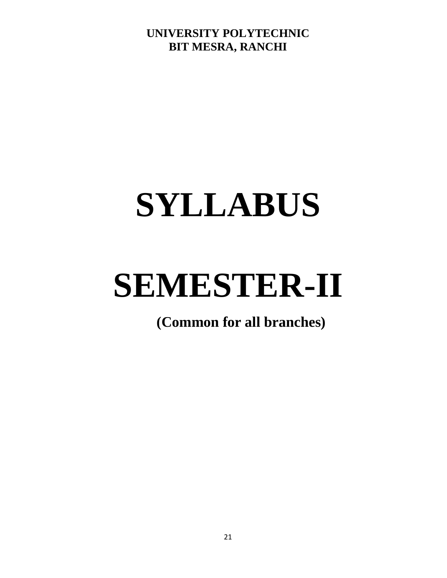# **SYLLABUS**

# **SEMESTER-II**

**(Common for all branches)**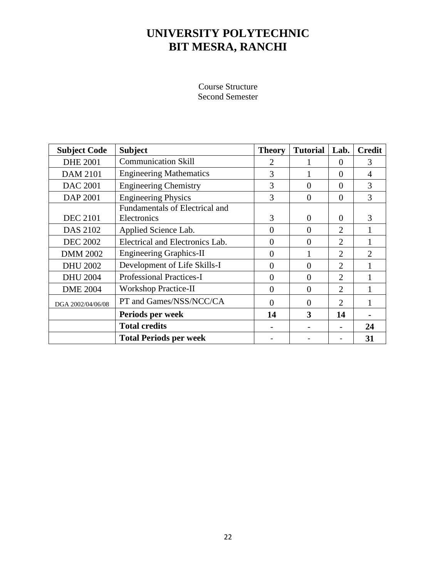Course Structure Second Semester

| <b>Subject Code</b> | <b>Subject</b>                        | <b>Theory</b> | <b>Tutorial</b> | Lab.                        | <b>Credit</b>  |
|---------------------|---------------------------------------|---------------|-----------------|-----------------------------|----------------|
| <b>DHE 2001</b>     | <b>Communication Skill</b>            | 2             |                 | $\Omega$                    | 3              |
| <b>DAM 2101</b>     | <b>Engineering Mathematics</b>        | 3             |                 | $\theta$                    | 4              |
| <b>DAC 2001</b>     | <b>Engineering Chemistry</b>          | 3             | $\Omega$        | $\Omega$                    | 3              |
| DAP 2001            | <b>Engineering Physics</b>            | 3             | $\overline{0}$  | $\Omega$                    | 3              |
|                     | <b>Fundamentals of Electrical and</b> |               |                 |                             |                |
| <b>DEC 2101</b>     | Electronics                           | 3             | $\Omega$        | $\Omega$                    | 3              |
| DAS 2102            | Applied Science Lab.                  | $\Omega$      | $\theta$        | 2                           |                |
| <b>DEC 2002</b>     | Electrical and Electronics Lab.       | $\Omega$      | $\Omega$        | $\overline{2}$              |                |
| <b>DMM 2002</b>     | <b>Engineering Graphics-II</b>        | $\Omega$      |                 | $\overline{2}$              | $\mathfrak{2}$ |
| <b>DHU 2002</b>     | Development of Life Skills-I          | $\Omega$      | $\Omega$        | $\overline{2}$              |                |
| <b>DHU 2004</b>     | <b>Professional Practices-I</b>       | $\Omega$      | $\theta$        | $\overline{2}$              |                |
| <b>DME 2004</b>     | <b>Workshop Practice-II</b>           | $\Omega$      | $\Omega$        | $\mathcal{D}_{\mathcal{L}}$ |                |
| DGA 2002/04/06/08   | PT and Games/NSS/NCC/CA               | 0             | $\Omega$        | $\overline{2}$              |                |
|                     | Periods per week                      | 14            | 3               | 14                          |                |
|                     | <b>Total credits</b>                  |               |                 |                             | 24             |
|                     | <b>Total Periods per week</b>         |               |                 |                             | 31             |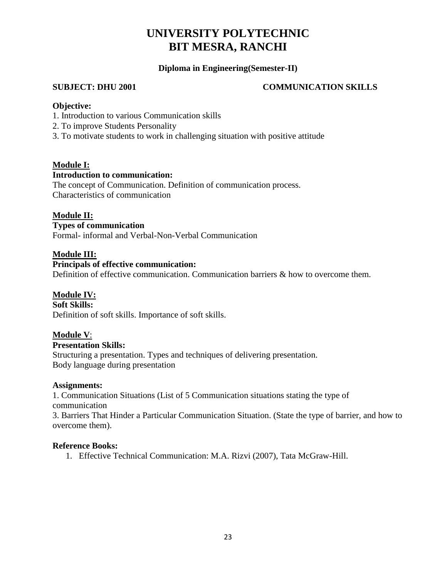### **Diploma in Engineering(Semester-II)**

### **SUBJECT: DHU 2001 COMMUNICATION SKILLS**

#### **Objective:**

- 1. Introduction to various Communication skills
- 2. To improve Students Personality
- 3. To motivate students to work in challenging situation with positive attitude

### **Module I:**

#### **Introduction to communication:**

The concept of Communication. Definition of communication process. Characteristics of communication

#### **Module II:**

**Types of communication** Formal- informal and Verbal-Non-Verbal Communication

### **Module III:**

## **Principals of effective communication:**

Definition of effective communication. Communication barriers & how to overcome them.

### **Module IV:**

**Soft Skills:** Definition of soft skills. Importance of soft skills.

### **Module V**:

#### **Presentation Skills:**

Structuring a presentation. Types and techniques of delivering presentation. Body language during presentation

#### **Assignments:**

1. Communication Situations (List of 5 Communication situations stating the type of communication

3. Barriers That Hinder a Particular Communication Situation. (State the type of barrier, and how to overcome them).

#### **Reference Books:**

1. Effective Technical Communication: M.A. Rizvi (2007), Tata McGraw-Hill.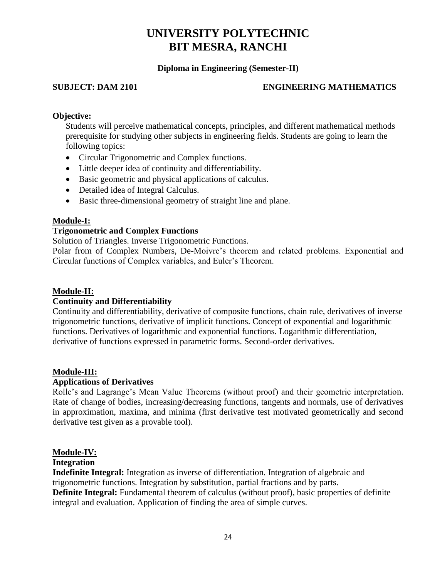#### **Diploma in Engineering (Semester-II)**

#### **SUBJECT: DAM 2101 ENGINEERING MATHEMATICS**

#### **Objective:**

Students will perceive mathematical concepts, principles, and different mathematical methods prerequisite for studying other subjects in engineering fields. Students are going to learn the following topics:

- Circular Trigonometric and Complex functions.
- Little deeper idea of continuity and differentiability.
- Basic geometric and physical applications of calculus.
- Detailed idea of Integral Calculus.
- Basic three-dimensional geometry of straight line and plane.

#### **Module-I:**

#### **Trigonometric and Complex Functions**

Solution of Triangles. Inverse Trigonometric Functions.

Polar from of Complex Numbers, De-Moivre's theorem and related problems. Exponential and Circular functions of Complex variables, and Euler's Theorem.

#### **Module-II:**

#### **Continuity and Differentiability**

Continuity and differentiability, derivative of composite functions, chain rule, derivatives of inverse trigonometric functions, derivative of implicit functions. Concept of exponential and logarithmic functions. Derivatives of logarithmic and exponential functions. Logarithmic differentiation, derivative of functions expressed in parametric forms. Second-order derivatives.

#### **Module-III:**

#### **Applications of Derivatives**

Rolle's and Lagrange's Mean Value Theorems (without proof) and their geometric interpretation. Rate of change of bodies, increasing/decreasing functions, tangents and normals, use of derivatives in approximation, maxima, and minima (first derivative test motivated geometrically and second derivative test given as a provable tool).

#### **Module-IV:**

#### **Integration**

**Indefinite Integral:** Integration as inverse of differentiation. Integration of algebraic and trigonometric functions. Integration by substitution, partial fractions and by parts. **Definite Integral:** Fundamental theorem of calculus (without proof), basic properties of definite integral and evaluation. Application of finding the area of simple curves.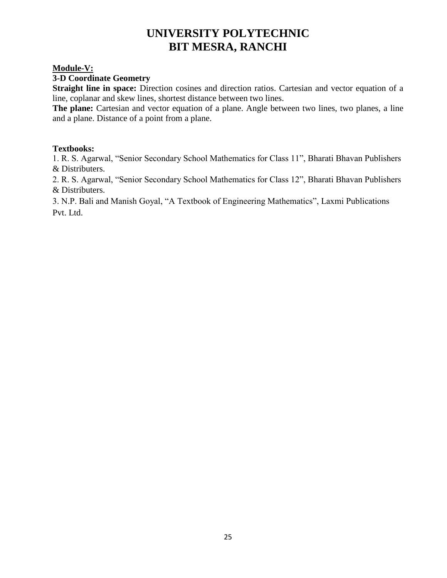#### **Module-V:**

#### **3-D Coordinate Geometry**

**Straight line in space:** Direction cosines and direction ratios. Cartesian and vector equation of a line, coplanar and skew lines, shortest distance between two lines.

The plane: Cartesian and vector equation of a plane. Angle between two lines, two planes, a line and a plane. Distance of a point from a plane.

#### **Textbooks:**

1. R. S. Agarwal, "Senior Secondary School Mathematics for Class 11", Bharati Bhavan Publishers & Distributers.

2. R. S. Agarwal, "Senior Secondary School Mathematics for Class 12", Bharati Bhavan Publishers & Distributers.

3. N.P. Bali and Manish Goyal, "A Textbook of Engineering Mathematics", Laxmi Publications Pvt. Ltd.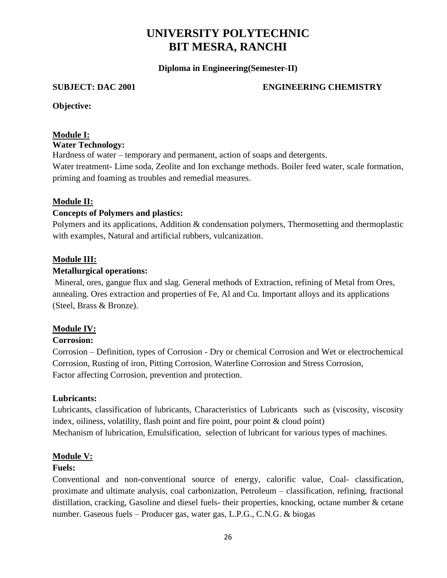**Diploma in Engineering(Semester-II)**

#### **SUBJECT: DAC 2001 ENGINEERING CHEMISTRY**

**Objective:**

### **Module I:**

#### **Water Technology:**

Hardness of water – temporary and permanent, action of soaps and detergents. Water treatment- Lime soda, Zeolite and Ion exchange methods. Boiler feed water, scale formation, priming and foaming as troubles and remedial measures.

### **Module II:**

### **Concepts of Polymers and plastics:**

Polymers and its applications, Addition & condensation polymers, Thermosetting and thermoplastic with examples, Natural and artificial rubbers, vulcanization.

#### **Module III:**

#### **Metallurgical operations:**

Mineral, ores, gangue flux and slag. General methods of Extraction, refining of Metal from Ores, annealing. Ores extraction and properties of Fe, Al and Cu. Important alloys and its applications (Steel, Brass & Bronze).

### **Module IV:**

#### **Corrosion:**

Corrosion – Definition, types of Corrosion - Dry or chemical Corrosion and Wet or electrochemical Corrosion, Rusting of iron, Pitting Corrosion, Waterline Corrosion and Stress Corrosion, Factor affecting Corrosion, prevention and protection.

#### **Lubricants:**

Lubricants, classification of lubricants, Characteristics of Lubricants such as (viscosity, viscosity index, oiliness, volatility, flash point and fire point, pour point & cloud point) Mechanism of lubrication, Emulsification, selection of lubricant for various types of machines.

### **Module V:**

#### **Fuels:**

Conventional and non-conventional source of energy, calorific value, Coal- classification, proximate and ultimate analysis, coal carbonization, Petroleum – classification, refining, fractional distillation, cracking, Gasoline and diesel fuels- their properties, knocking, octane number & cetane number. Gaseous fuels – Producer gas, water gas, L.P.G., C.N.G. & biogas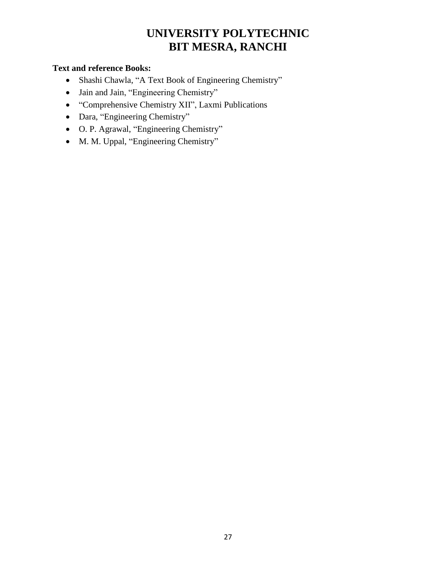## **Text and reference Books:**

- Shashi Chawla, "A Text Book of Engineering Chemistry"
- Jain and Jain, "Engineering Chemistry"
- "Comprehensive Chemistry XII", Laxmi Publications
- Dara, "Engineering Chemistry"
- O. P. Agrawal, "Engineering Chemistry"
- M. M. Uppal, "Engineering Chemistry"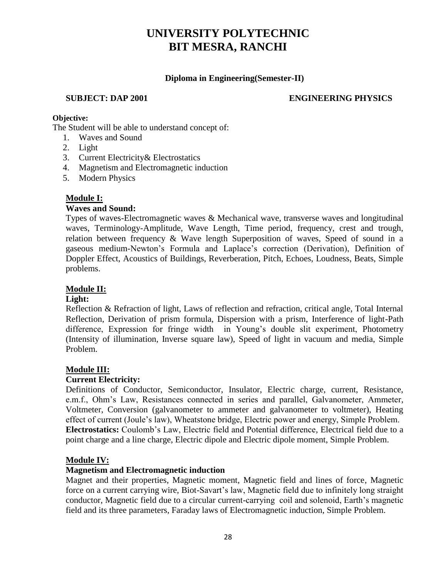## **Diploma in Engineering(Semester-II)**

## **SUBJECT: DAP 2001 ENGINEERING PHYSICS**

#### **Objective:**

The Student will be able to understand concept of:

- 1. Waves and Sound
- 2. Light
- 3. Current Electricity& Electrostatics
- 4. Magnetism and Electromagnetic induction
- 5. Modern Physics

### **Module I:**

#### **Waves and Sound:**

Types of waves-Electromagnetic waves & Mechanical wave, transverse waves and longitudinal waves, Terminology-Amplitude, Wave Length, Time period, frequency, crest and trough, relation between frequency & Wave length Superposition of waves, Speed of sound in a gaseous medium-Newton's Formula and Laplace's correction (Derivation), Definition of Doppler Effect, Acoustics of Buildings, Reverberation, Pitch, Echoes, Loudness, Beats, Simple problems.

## **Module II:**

#### **Light:**

Reflection & Refraction of light, Laws of reflection and refraction, critical angle, Total Internal Reflection, Derivation of prism formula, Dispersion with a prism, Interference of light-Path difference, Expression for fringe width in Young's double slit experiment, Photometry (Intensity of illumination, Inverse square law), Speed of light in vacuum and media, Simple Problem.

#### **Module III:**

### **Current Electricity:**

Definitions of Conductor, Semiconductor, Insulator, Electric charge, current, Resistance, e.m.f., Ohm's Law, Resistances connected in series and parallel, Galvanometer, Ammeter, Voltmeter, Conversion (galvanometer to ammeter and galvanometer to voltmeter), Heating effect of current (Joule's law), Wheatstone bridge, Electric power and energy, Simple Problem. **Electrostatics:** Coulomb's Law, Electric field and Potential difference, Electrical field due to a point charge and a line charge, Electric dipole and Electric dipole moment, Simple Problem.

#### **Module IV:**

#### **Magnetism and Electromagnetic induction**

Magnet and their properties, Magnetic moment, Magnetic field and lines of force, Magnetic force on a current carrying wire, Biot-Savart's law, Magnetic field due to infinitely long straight conductor, Magnetic field due to a circular current-carrying coil and solenoid, Earth's magnetic field and its three parameters, Faraday laws of Electromagnetic induction, Simple Problem.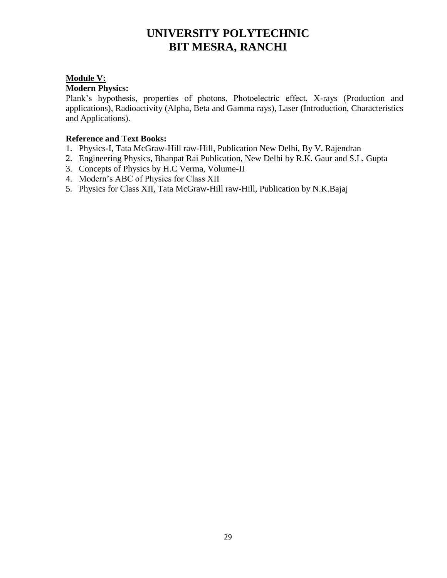## **Module V:**

#### **Modern Physics:**

Plank's hypothesis, properties of photons, Photoelectric effect, X-rays (Production and applications), Radioactivity (Alpha, Beta and Gamma rays), Laser (Introduction, Characteristics and Applications).

#### **Reference and Text Books:**

- 1. Physics-I, Tata McGraw-Hill raw-Hill, Publication New Delhi, By V. Rajendran
- 2. Engineering Physics, Bhanpat Rai Publication, New Delhi by R.K. Gaur and S.L. Gupta
- 3. Concepts of Physics by H.C Verma, Volume-II
- 4. Modern's ABC of Physics for Class XII
- 5. Physics for Class XII, Tata McGraw-Hill raw-Hill, Publication by N.K.Bajaj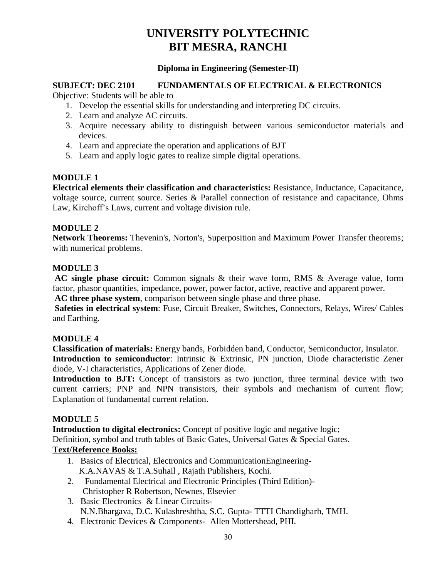#### **Diploma in Engineering (Semester-II)**

#### **SUBJECT: DEC 2101 FUNDAMENTALS OF ELECTRICAL & ELECTRONICS**

Objective: Students will be able to

- 1. Develop the essential skills for understanding and interpreting DC circuits.
- 2. Learn and analyze AC circuits.
- 3. Acquire necessary ability to distinguish between various semiconductor materials and devices.
- 4. Learn and appreciate the operation and applications of BJT
- 5. Learn and apply logic gates to realize simple digital operations.

### **MODULE 1**

**Electrical elements their classification and characteristics:** Resistance, Inductance, Capacitance, voltage source, current source. Series & Parallel connection of resistance and capacitance, Ohms Law, Kirchoff's Laws, current and voltage division rule.

### **MODULE 2**

**Network Theorems:** Thevenin's, Norton's, Superposition and Maximum Power Transfer theorems; with numerical problems.

#### **MODULE 3**

**AC single phase circuit:** Common signals & their wave form, RMS & Average value, form factor, phasor quantities, impedance, power, power factor, active, reactive and apparent power. **AC three phase system**, comparison between single phase and three phase.

**Safeties in electrical system**: Fuse, Circuit Breaker, Switches, Connectors, Relays, Wires/ Cables and Earthing.

#### **MODULE 4**

**Classification of materials:** Energy bands, Forbidden band, Conductor, Semiconductor, Insulator. **Introduction to semiconductor**: Intrinsic & Extrinsic, PN junction, Diode characteristic Zener diode, V-I characteristics, Applications of Zener diode.

Introduction to BJT: Concept of transistors as two junction, three terminal device with two current carriers; PNP and NPN transistors, their symbols and mechanism of current flow; Explanation of fundamental current relation.

### **MODULE 5**

**Introduction to digital electronics:** Concept of positive logic and negative logic; Definition, symbol and truth tables of Basic Gates, Universal Gates & Special Gates.

### **Text/Reference Books:**

- 1. Basics of Electrical, Electronics and CommunicationEngineering-K.A.NAVAS & T.A.Suhail , Rajath Publishers, Kochi.
- 2. Fundamental Electrical and Electronic Principles (Third Edition)- Christopher R Robertson, Newnes, Elsevier
- 3. Basic Electronics & Linear Circuits-N.N.Bhargava, D.C. Kulashreshtha, S.C. Gupta- TTTI Chandigharh, TMH.
- 4. Electronic Devices & Components- Allen Mottershead, PHI.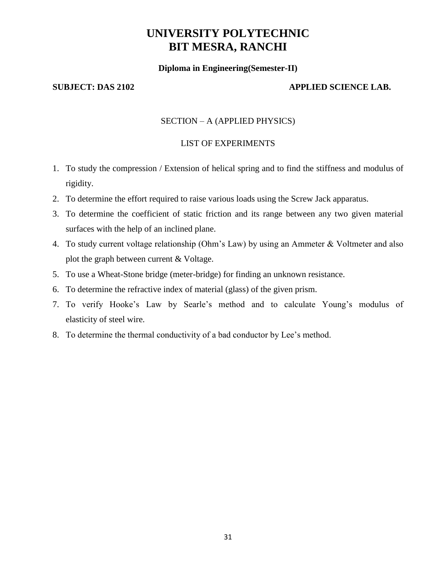#### **Diploma in Engineering(Semester-II)**

#### **SUBJECT: DAS 2102 APPLIED SCIENCE LAB.**

#### SECTION – A (APPLIED PHYSICS)

#### LIST OF EXPERIMENTS

- 1. To study the compression / Extension of helical spring and to find the stiffness and modulus of rigidity.
- 2. To determine the effort required to raise various loads using the Screw Jack apparatus.
- 3. To determine the coefficient of static friction and its range between any two given material surfaces with the help of an inclined plane.
- 4. To study current voltage relationship (Ohm's Law) by using an Ammeter & Voltmeter and also plot the graph between current & Voltage.
- 5. To use a Wheat-Stone bridge (meter-bridge) for finding an unknown resistance.
- 6. To determine the refractive index of material (glass) of the given prism.
- 7. To verify Hooke's Law by Searle's method and to calculate Young's modulus of elasticity of steel wire.
- 8. To determine the thermal conductivity of a bad conductor by Lee's method.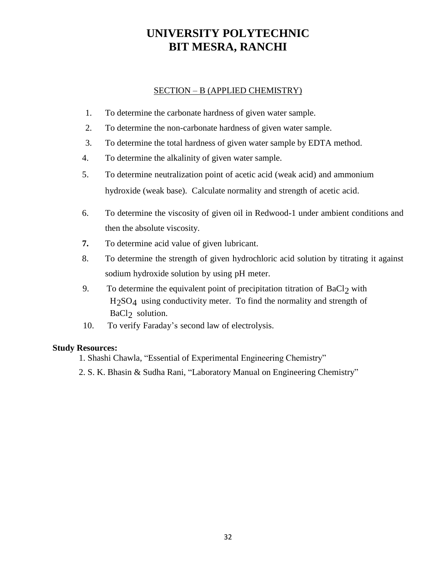#### SECTION – B (APPLIED CHEMISTRY)

- 1. To determine the carbonate hardness of given water sample.
- 2. To determine the non-carbonate hardness of given water sample.
- 3. To determine the total hardness of given water sample by EDTA method.
- 4. To determine the alkalinity of given water sample.
- 5. To determine neutralization point of acetic acid (weak acid) and ammonium hydroxide (weak base). Calculate normality and strength of acetic acid.
- 6. To determine the viscosity of given oil in Redwood-1 under ambient conditions and then the absolute viscosity.
- **7.** To determine acid value of given lubricant.
- 8. To determine the strength of given hydrochloric acid solution by titrating it against sodium hydroxide solution by using pH meter.
- 9. To determine the equivalent point of precipitation titration of  $BaCl<sub>2</sub>$  with  $H<sub>2</sub>SO<sub>4</sub>$  using conductivity meter. To find the normality and strength of BaCl<sub>2</sub> solution.
- 10. To verify Faraday's second law of electrolysis.

#### **Study Resources:**

- 1. Shashi Chawla, "Essential of Experimental Engineering Chemistry"
- 2. S. K. Bhasin & Sudha Rani, "Laboratory Manual on Engineering Chemistry"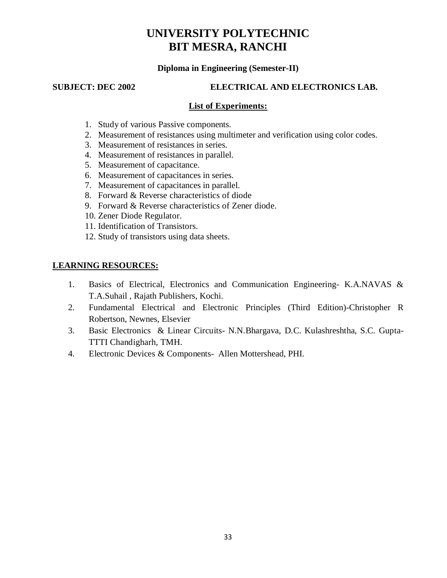#### **Diploma in Engineering (Semester-II)**

#### **SUBJECT: DEC 2002 ELECTRICAL AND ELECTRONICS LAB.**

#### **List of Experiments:**

- 1. Study of various Passive components.
- 2. Measurement of resistances using multimeter and verification using color codes.
- 3. Measurement of resistances in series.
- 4. Measurement of resistances in parallel.
- 5. Measurement of capacitance.
- 6. Measurement of capacitances in series.
- 7. Measurement of capacitances in parallel.
- 8. Forward & Reverse characteristics of diode
- 9. Forward & Reverse characteristics of Zener diode.
- 10. Zener Diode Regulator.
- 11. Identification of Transistors.
- 12. Study of transistors using data sheets.

### **LEARNING RESOURCES:**

- 1. Basics of Electrical, Electronics and Communication Engineering- K.A.NAVAS & T.A.Suhail , Rajath Publishers, Kochi.
- 2. Fundamental Electrical and Electronic Principles (Third Edition)-Christopher R Robertson, Newnes, Elsevier
- 3. Basic Electronics & Linear Circuits- N.N.Bhargava, D.C. Kulashreshtha, S.C. Gupta-TTTI Chandigharh, TMH.
- 4. Electronic Devices & Components- Allen Mottershead, PHI.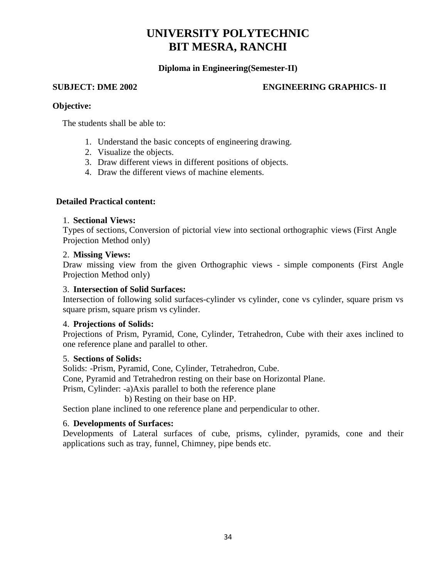#### **Diploma in Engineering(Semester-II)**

#### **SUBJECT: DME 2002 ENGINEERING GRAPHICS- II**

#### **Objective:**

The students shall be able to:

- 1. Understand the basic concepts of engineering drawing.
- 2. Visualize the objects.
- 3. Draw different views in different positions of objects.
- 4. Draw the different views of machine elements.

#### **Detailed Practical content:**

#### 1. **Sectional Views:**

Types of sections, Conversion of pictorial view into sectional orthographic views (First Angle Projection Method only)

#### 2. **Missing Views:**

Draw missing view from the given Orthographic views - simple components (First Angle Projection Method only)

#### 3. **Intersection of Solid Surfaces:**

Intersection of following solid surfaces-cylinder vs cylinder, cone vs cylinder, square prism vs square prism, square prism vs cylinder.

#### 4. **Projections of Solids:**

Projections of Prism, Pyramid, Cone, Cylinder, Tetrahedron, Cube with their axes inclined to one reference plane and parallel to other.

#### 5. **Sections of Solids:**

Solids: -Prism, Pyramid, Cone, Cylinder, Tetrahedron, Cube. Cone, Pyramid and Tetrahedron resting on their base on Horizontal Plane. Prism, Cylinder: -a)Axis parallel to both the reference plane b) Resting on their base on HP.

Section plane inclined to one reference plane and perpendicular to other.

#### 6. **Developments of Surfaces:**

Developments of Lateral surfaces of cube, prisms, cylinder, pyramids, cone and their applications such as tray, funnel, Chimney, pipe bends etc.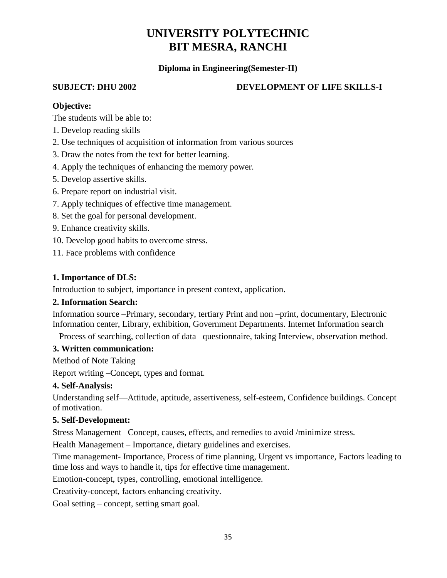### **Diploma in Engineering(Semester-II)**

## **SUBJECT: DHU 2002 DEVELOPMENT OF LIFE SKILLS-I**

### **Objective:**

The students will be able to:

- 1. Develop reading skills
- 2. Use techniques of acquisition of information from various sources
- 3. Draw the notes from the text for better learning.
- 4. Apply the techniques of enhancing the memory power.
- 5. Develop assertive skills.
- 6. Prepare report on industrial visit.
- 7. Apply techniques of effective time management.
- 8. Set the goal for personal development.
- 9. Enhance creativity skills.
- 10. Develop good habits to overcome stress.
- 11. Face problems with confidence

## **1. Importance of DLS:**

Introduction to subject, importance in present context, application.

### **2. Information Search:**

Information source –Primary, secondary, tertiary Print and non –print, documentary, Electronic Information center, Library, exhibition, Government Departments. Internet Information search

– Process of searching, collection of data –questionnaire, taking Interview, observation method.

### **3. Written communication:**

Method of Note Taking

Report writing –Concept, types and format.

## **4. Self-Analysis:**

Understanding self—Attitude, aptitude, assertiveness, self-esteem, Confidence buildings. Concept of motivation.

### **5. Self-Development:**

Stress Management –Concept, causes, effects, and remedies to avoid /minimize stress.

Health Management – Importance, dietary guidelines and exercises.

Time management- Importance, Process of time planning, Urgent vs importance, Factors leading to time loss and ways to handle it, tips for effective time management.

Emotion-concept, types, controlling, emotional intelligence.

Creativity-concept, factors enhancing creativity.

Goal setting – concept, setting smart goal.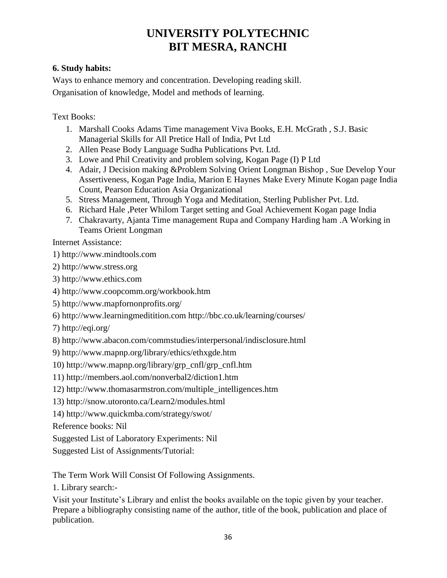## **6. Study habits:**

Ways to enhance memory and concentration. Developing reading skill. Organisation of knowledge, Model and methods of learning.

Text Books:

- 1. Marshall Cooks Adams Time management Viva Books, E.H. McGrath , S.J. Basic Managerial Skills for All Pretice Hall of India, Pvt Ltd
- 2. Allen Pease Body Language Sudha Publications Pvt. Ltd.
- 3. Lowe and Phil Creativity and problem solving, Kogan Page (I) P Ltd
- 4. Adair, J Decision making &Problem Solving Orient Longman Bishop , Sue Develop Your Assertiveness, Kogan Page India, Marion E Haynes Make Every Minute Kogan page India Count, Pearson Education Asia Organizational
- 5. Stress Management, Through Yoga and Meditation, Sterling Publisher Pvt. Ltd.
- 6. Richard Hale ,Peter Whilom Target setting and Goal Achievement Kogan page India
- 7. Chakravarty, Ajanta Time management Rupa and Company Harding ham .A Working in Teams Orient Longman

Internet Assistance:

1) http://www.mindtools.com

- 2) http://www.stress.org
- 3) http://www.ethics.com
- 4) http://www.coopcomm.org/workbook.htm
- 5) http://www.mapfornonprofits.org/
- 6) http://www.learningmeditition.com http://bbc.co.uk/learning/courses/
- 7) http://eqi.org/
- 8) http://www.abacon.com/commstudies/interpersonal/indisclosure.html
- 9) http://www.mapnp.org/library/ethics/ethxgde.htm
- 10) http://www.mapnp.org/library/grp\_cnfl/grp\_cnfl.htm
- 11) http://members.aol.com/nonverbal2/diction1.htm
- 12) http://www.thomasarmstron.com/multiple\_intelligences.htm
- 13) http://snow.utoronto.ca/Learn2/modules.html
- 14) http://www.quickmba.com/strategy/swot/

Reference books: Nil

Suggested List of Laboratory Experiments: Nil

Suggested List of Assignments/Tutorial:

The Term Work Will Consist Of Following Assignments.

1. Library search:-

Visit your Institute's Library and enlist the books available on the topic given by your teacher. Prepare a bibliography consisting name of the author, title of the book, publication and place of publication.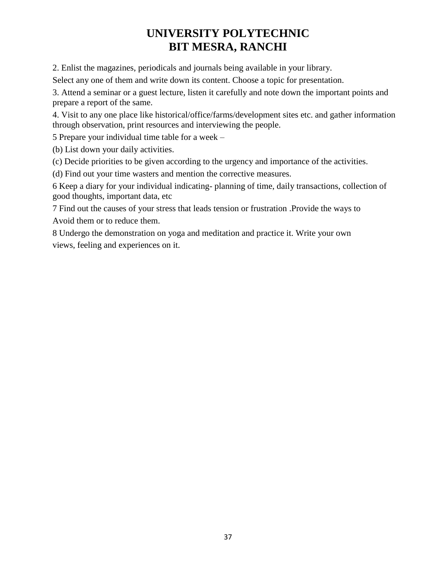2. Enlist the magazines, periodicals and journals being available in your library.

Select any one of them and write down its content. Choose a topic for presentation.

3. Attend a seminar or a guest lecture, listen it carefully and note down the important points and prepare a report of the same.

4. Visit to any one place like historical/office/farms/development sites etc. and gather information through observation, print resources and interviewing the people.

5 Prepare your individual time table for a week –

(b) List down your daily activities.

(c) Decide priorities to be given according to the urgency and importance of the activities.

(d) Find out your time wasters and mention the corrective measures.

6 Keep a diary for your individual indicating- planning of time, daily transactions, collection of good thoughts, important data, etc

7 Find out the causes of your stress that leads tension or frustration .Provide the ways to Avoid them or to reduce them.

8 Undergo the demonstration on yoga and meditation and practice it. Write your own views, feeling and experiences on it.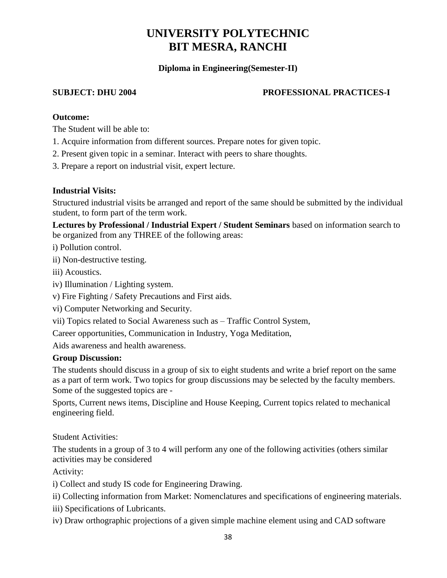## **Diploma in Engineering(Semester-II)**

## **SUBJECT: DHU 2004 PROFESSIONAL PRACTICES-I**

#### **Outcome:**

The Student will be able to:

- 1. Acquire information from different sources. Prepare notes for given topic.
- 2. Present given topic in a seminar. Interact with peers to share thoughts.
- 3. Prepare a report on industrial visit, expert lecture.

#### **Industrial Visits:**

Structured industrial visits be arranged and report of the same should be submitted by the individual student, to form part of the term work.

**Lectures by Professional / Industrial Expert / Student Seminars** based on information search to be organized from any THREE of the following areas:

i) Pollution control.

ii) Non-destructive testing.

iii) Acoustics.

- iv) Illumination / Lighting system.
- v) Fire Fighting / Safety Precautions and First aids.
- vi) Computer Networking and Security.
- vii) Topics related to Social Awareness such as Traffic Control System,

Career opportunities, Communication in Industry, Yoga Meditation,

Aids awareness and health awareness.

#### **Group Discussion:**

The students should discuss in a group of six to eight students and write a brief report on the same as a part of term work. Two topics for group discussions may be selected by the faculty members. Some of the suggested topics are -

Sports, Current news items, Discipline and House Keeping, Current topics related to mechanical engineering field.

Student Activities:

The students in a group of 3 to 4 will perform any one of the following activities (others similar activities may be considered

Activity:

i) Collect and study IS code for Engineering Drawing.

- ii) Collecting information from Market: Nomenclatures and specifications of engineering materials.
- iii) Specifications of Lubricants.
- iv) Draw orthographic projections of a given simple machine element using and CAD software